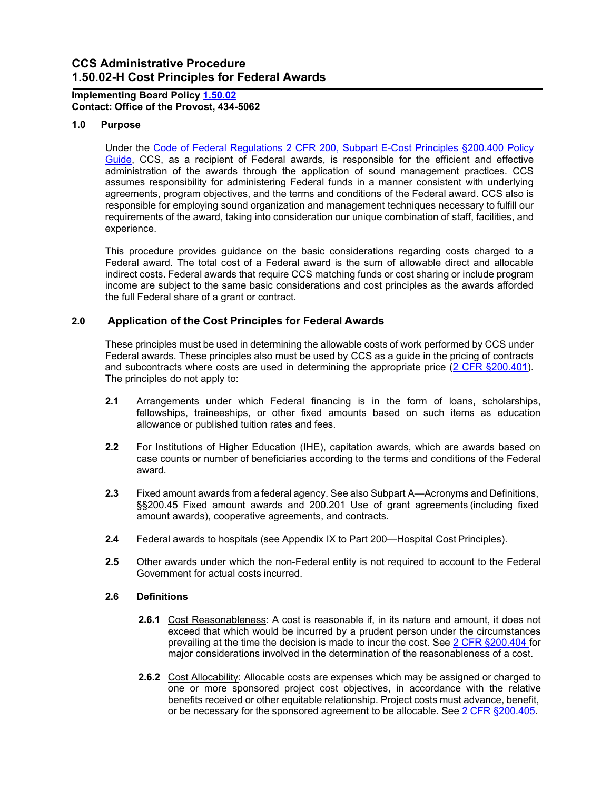# **CCS Administrative Procedure 1.50.02-H Cost Principles for Federal Awards**

### **Implementing Board Policy [1.50.02](https://ccs.spokane.edu/About-Us/Leadership/Board-of-Trustees/Policies-Procedures/Chapter1) Contact: Office of the Provost, 434-5062**

### **1.0 Purpose**

Under the [Code of Federal Regulations 2 CFR 200, Subpart E-Cost Principles §200.400 Policy](https://www.ecfr.gov/cgi-bin/retrieveECFR?gp&SID=df15c322be7c86f3e543f7b648da2d09&mc=true&n=sp2.1.200.e&r=SUBPART&ty=HTML&se2.1.200_1400) [Guide,](https://www.ecfr.gov/cgi-bin/retrieveECFR?gp&SID=df15c322be7c86f3e543f7b648da2d09&mc=true&n=sp2.1.200.e&r=SUBPART&ty=HTML&se2.1.200_1400) CCS, as a recipient of Federal awards, is responsible for the efficient and effective administration of the awards through the application of sound management practices. CCS assumes responsibility for administering Federal funds in a manner consistent with underlying agreements, program objectives, and the terms and conditions of the Federal award. CCS also is responsible for employing sound organization and management techniques necessary to fulfill our requirements of the award, taking into consideration our unique combination of staff, facilities, and experience.

This procedure provides guidance on the basic considerations regarding costs charged to a Federal award. The total cost of a Federal award is the sum of allowable direct and allocable indirect costs. Federal awards that require CCS matching funds or cost sharing or include program income are subject to the same basic considerations and cost principles as the awards afforded the full Federal share of a grant or contract.

# **2.0 Application of the Cost Principles for Federal Awards**

These principles must be used in determining the allowable costs of work performed by CCS under Federal awards. These principles also must be used by CCS as a guide in the pricing of contracts and subcontracts where costs are used in determining the appropriate price [\(2 CFR §200.401\)](https://www.ecfr.gov/cgi-bin/retrieveECFR?gp&SID=cd105f4967672beeb3a11d018ae369e9&mc=true&n=pt2.1.200&r=PART&ty=HTML&se2.1.200_1401). The principles do not apply to:

- **2.1** Arrangements under which Federal financing is in the form of loans, scholarships, fellowships, traineeships, or other fixed amounts based on such items as education allowance or published tuition rates and fees.
- **2.2** For Institutions of Higher Education (IHE), capitation awards, which are awards based on case counts or number of beneficiaries according to the terms and conditions of the Federal award.
- **2.3** Fixed amount awards from a federal agency. See also Subpart A—Acronyms and Definitions, §§200.45 Fixed amount awards and 200.201 Use of grant agreements (including fixed amount awards), cooperative agreements, and contracts.
- **2.4** Federal awards to hospitals (see Appendix IX to Part 200—Hospital Cost Principles).
- **2.5** Other awards under which the non-Federal entity is not required to account to the Federal Government for actual costs incurred.

### **2.6 Definitions**

- **2.6.1** Cost Reasonableness: A cost is reasonable if, in its nature and amount, it does not exceed that which would be incurred by a prudent person under the circumstances prevailing at the time the decision is made to incur the cost. See [2 CFR §200.404 f](https://www.ecfr.gov/cgi-bin/retrieveECFR?gp&SID=df15c322be7c86f3e543f7b648da2d09&mc=true&n=sp2.1.200.e&r=SUBPART&ty=HTML&se2.1.200_1404)or major considerations involved in the determination of the reasonableness of a cost.
- **2.6.2** Cost Allocability: Allocable costs are expenses which may be assigned or charged to one or more sponsored project cost objectives, in accordance with the relative benefits received or other equitable relationship. Project costs must advance, benefit, or be necessary for the sponsored agreement to be allocable. See 2 CFR [§200.405.](https://www.ecfr.gov/cgi-bin/retrieveECFR?gp&SID=df15c322be7c86f3e543f7b648da2d09&mc=true&n=sp2.1.200.e&r=SUBPART&ty=HTML&se2.1.200_1405)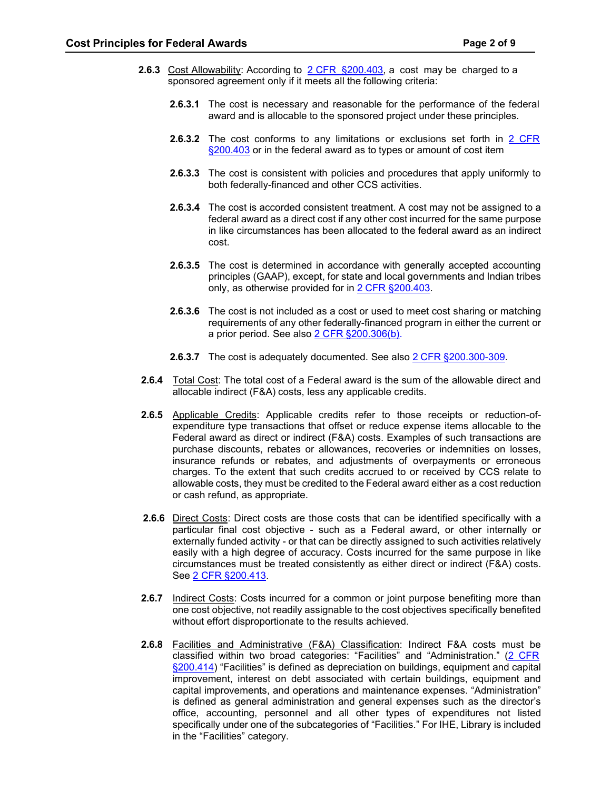- **2.6.3** Cost Allowability: According to 2 CFR [§200.403,](https://www.ecfr.gov/cgi-bin/retrieveECFR?gp&SID=df15c322be7c86f3e543f7b648da2d09&mc=true&n=sp2.1.200.e&r=SUBPART&ty=HTML&se2.1.200_1403) a cost may be charged to a sponsored agreement only if it meets all the following criteria:
	- **2.6.3.1** The cost is necessary and reasonable for the performance of the federal award and is allocable to the sponsored project under these principles.
	- **2.6.3.2** The cost conforms to any limitations or exclusions set forth in 2 [CFR](https://www.ecfr.gov/cgi-bin/retrieveECFR?gp&SID=fb502e5ad3fce63c5ef7bb2c149eb453&mc=true&n=pt2.1.200&r=PART&ty=HTML%20-%20se2.1.200_1419&se2.1.200_1403) [§200.403](https://www.ecfr.gov/cgi-bin/retrieveECFR?gp&SID=fb502e5ad3fce63c5ef7bb2c149eb453&mc=true&n=pt2.1.200&r=PART&ty=HTML%20-%20se2.1.200_1419&se2.1.200_1403) or in the federal award as to types or amount of cost item
	- **2.6.3.3** The cost is consistent with policies and procedures that apply uniformly to both federally-financed and other CCS activities.
	- **2.6.3.4** The cost is accorded consistent treatment. A cost may not be assigned to a federal award as a direct cost if any other cost incurred for the same purpose in like circumstances has been allocated to the federal award as an indirect cost.
	- **2.6.3.5** The cost is determined in accordance with generally accepted accounting principles (GAAP), except, for state and local governments and Indian tribes only, as otherwise provided for in 2 [CFR §200.403.](https://www.ecfr.gov/cgi-bin/retrieveECFR?gp&SID=fb502e5ad3fce63c5ef7bb2c149eb453&mc=true&n=pt2.1.200&r=PART&ty=HTML%20-%20se2.1.200_1419&se2.1.200_1403)
	- **2.6.3.6** The cost is not included as a cost or used to meet cost sharing or matching requirements of any other federally-financed program in either the current or a prior period. See also 2 CFR [§200.306\(b\).](https://www.ecfr.gov/cgi-bin/retrieveECFR?gp&SID=df15c322be7c86f3e543f7b648da2d09&mc=true&n=pt2.1.200&r=PART&ty=HTML&se2.1.200_1306)
	- **2.6.3.7** The cost is adequately documented. See also 2 CFR [§200.300-309.](https://www.ecfr.gov/cgi-bin/retrieveECFR?gp&SID=df15c322be7c86f3e543f7b648da2d09&mc=true&n=pt2.1.200&r=PART&ty=HTML&sg2.1.200.d.sg1)
- **2.6.4** Total Cost: The total cost of a Federal award is the sum of the allowable direct and allocable indirect (F&A) costs, less any applicable credits.
- **2.6.5** Applicable Credits: Applicable credits refer to those receipts or reduction-ofexpenditure type transactions that offset or reduce expense items allocable to the Federal award as direct or indirect (F&A) costs. Examples of such transactions are purchase discounts, rebates or allowances, recoveries or indemnities on losses, insurance refunds or rebates, and adjustments of overpayments or erroneous charges. To the extent that such credits accrued to or received by CCS relate to allowable costs, they must be credited to the Federal award either as a cost reduction or cash refund, as appropriate.
- **2.6.6** Direct Costs: Direct costs are those costs that can be identified specifically with a particular final cost objective - such as a Federal award, or other internally or externally funded activity - or that can be directly assigned to such activities relatively easily with a high degree of accuracy. Costs incurred for the same purpose in like circumstances must be treated consistently as either direct or indirect (F&A) costs. See [2 CFR §200.413.](https://www.ecfr.gov/cgi-bin/retrieveECFR?gp&SID=df15c322be7c86f3e543f7b648da2d09&mc=true&n=pt2.1.200&r=PART&ty=HTML&se2.1.200_1413)
- **2.6.7** Indirect Costs: Costs incurred for a common or joint purpose benefiting more than one cost objective, not readily assignable to the cost objectives specifically benefited without effort disproportionate to the results achieved.
- **2.6.8** Facilities and Administrative (F&A) Classification: Indirect F&A costs must be classified within two broad categories: "Facilities" and "Administration." (2 [CFR](https://www.ecfr.gov/cgi-bin/retrieveECFR?gp&SID=df15c322be7c86f3e543f7b648da2d09&mc=true&n=pt2.1.200&r=PART&ty=HTML&se2.1.200_1414) [§200.414\)](https://www.ecfr.gov/cgi-bin/retrieveECFR?gp&SID=df15c322be7c86f3e543f7b648da2d09&mc=true&n=pt2.1.200&r=PART&ty=HTML&se2.1.200_1414) "Facilities" is defined as depreciation on buildings, equipment and capital improvement, interest on debt associated with certain buildings, equipment and capital improvements, and operations and maintenance expenses. "Administration" is defined as general administration and general expenses such as the director's office, accounting, personnel and all other types of expenditures not listed specifically under one of the subcategories of "Facilities." For IHE, Library is included in the "Facilities" category.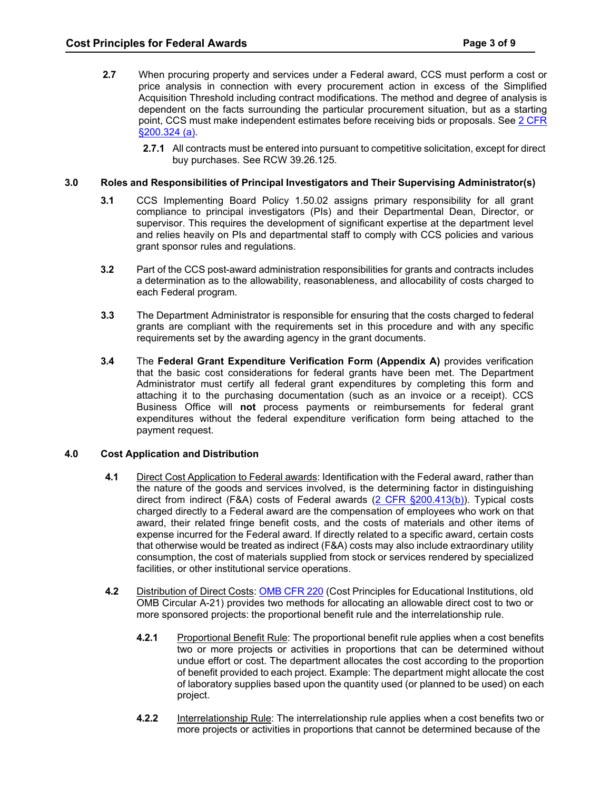- **2.7** When procuring property and services under a Federal award, CCS must perform a cost or price analysis in connection with every procurement action in excess of the Simplified Acquisition Threshold including contract modifications. The method and degree of analysis is dependent on the facts surrounding the particular procurement situation, but as a starting point, CCS must make independent estimates before receiving bids or proposals. See [2 CFR](https://ecfr.federalregister.gov/current/title-2/subtitle-A/chapter-II/part-200/subpart-D/subject-group-ECFR1ad5506a4809976/section-200.324)  [§200.324 \(a\).](https://ecfr.federalregister.gov/current/title-2/subtitle-A/chapter-II/part-200/subpart-D/subject-group-ECFR1ad5506a4809976/section-200.324)
	- **2.7.1** All contracts must be entered into pursuant to competitive solicitation, except for direct buy purchases. See RCW 39.26.125.

### **3.0 Roles and Responsibilities of Principal Investigators and Their Supervising Administrator(s)**

- **3.1** CCS Implementing Board Policy 1.50.02 assigns primary responsibility for all grant compliance to principal investigators (PIs) and their Departmental Dean, Director, or supervisor. This requires the development of significant expertise at the department level and relies heavily on PIs and departmental staff to comply with CCS policies and various grant sponsor rules and regulations.
- **3.2** Part of the CCS post-award administration responsibilities for grants and contracts includes a determination as to the allowability, reasonableness, and allocability of costs charged to each Federal program.
- **3.3** The Department Administrator is responsible for ensuring that the costs charged to federal grants are compliant with the requirements set in this procedure and with any specific requirements set by the awarding agency in the grant documents.
- **3.4** The **Federal Grant Expenditure Verification Form (Appendix A)** provides verification that the basic cost considerations for federal grants have been met. The Department Administrator must certify all federal grant expenditures by completing this form and attaching it to the purchasing documentation (such as an invoice or a receipt). CCS Business Office will **not** process payments or reimbursements for federal grant expenditures without the federal expenditure verification form being attached to the payment request.

### **4.0 Cost Application and Distribution**

- **4.1** Direct Cost Application to Federal awards: Identification with the Federal award, rather than the nature of the goods and services involved, is the determining factor in distinguishing direct from indirect (F&A) costs of Federal awards [\(2 CFR §200.413\(b\)\)](http://www.ecfr.gov/cgi-bin/text-idx?node=se2.1.200_1413). Typical costs charged directly to a Federal award are the compensation of employees who work on that award, their related fringe benefit costs, and the costs of materials and other items of expense incurred for the Federal award. If directly related to a specific award, certain costs that otherwise would be treated as indirect (F&A) costs may also include extraordinary utility consumption, the cost of materials supplied from stock or services rendered by specialized facilities, or other institutional service operations.
- **4.2** Distribution of Direct Costs: [OMB](https://www.gpo.gov/fdsys/pkg/CFR-2012-title2-vol1/xml/CFR-2012-title2-vol1-part220.xml) CFR 220 (Cost Principles for Educational Institutions, old OMB Circular A-21) provides two methods for allocating an allowable direct cost to two or more sponsored projects: the proportional benefit rule and the interrelationship rule.
	- **4.2.1** Proportional Benefit Rule: The proportional benefit rule applies when a cost benefits two or more projects or activities in proportions that can be determined without undue effort or cost. The department allocates the cost according to the proportion of benefit provided to each project. Example: The department might allocate the cost of laboratory supplies based upon the quantity used (or planned to be used) on each project.
	- **4.2.2** Interrelationship Rule: The interrelationship rule applies when a cost benefits two or more projects or activities in proportions that cannot be determined because of the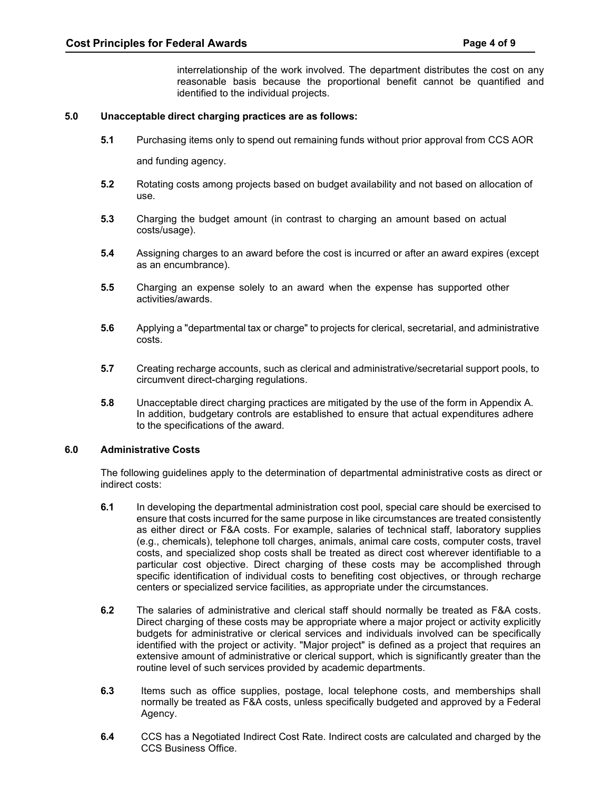interrelationship of the work involved. The department distributes the cost on any reasonable basis because the proportional benefit cannot be quantified and identified to the individual projects.

### **5.0 Unacceptable direct charging practices are as follows:**

**5.1** Purchasing items only to spend out remaining funds without prior approval from CCS AOR

and funding agency.

- **5.2** Rotating costs among projects based on budget availability and not based on allocation of use.
- **5.3** Charging the budget amount (in contrast to charging an amount based on actual costs/usage).
- **5.4** Assigning charges to an award before the cost is incurred or after an award expires (except as an encumbrance).
- **5.5** Charging an expense solely to an award when the expense has supported other activities/awards.
- **5.6** Applying a "departmental tax or charge" to projects for clerical, secretarial, and administrative costs.
- **5.7** Creating recharge accounts, such as clerical and administrative/secretarial support pools, to circumvent direct-charging regulations.
- **5.8** Unacceptable direct charging practices are mitigated by the use of the form in Appendix A. In addition, budgetary controls are established to ensure that actual expenditures adhere to the specifications of the award.

### **6.0 Administrative Costs**

The following guidelines apply to the determination of departmental administrative costs as direct or indirect costs:

- **6.1** In developing the departmental administration cost pool, special care should be exercised to ensure that costs incurred for the same purpose in like circumstances are treated consistently as either direct or F&A costs. For example, salaries of technical staff, laboratory supplies (e.g., chemicals), telephone toll charges, animals, animal care costs, computer costs, travel costs, and specialized shop costs shall be treated as direct cost wherever identifiable to a particular cost objective. Direct charging of these costs may be accomplished through specific identification of individual costs to benefiting cost objectives, or through recharge centers or specialized service facilities, as appropriate under the circumstances.
- **6.2** The salaries of administrative and clerical staff should normally be treated as F&A costs. Direct charging of these costs may be appropriate where a major project or activity explicitly budgets for administrative or clerical services and individuals involved can be specifically identified with the project or activity. "Major project" is defined as a project that requires an extensive amount of administrative or clerical support, which is significantly greater than the routine level of such services provided by academic departments.
- **6.3** Items such as office supplies, postage, local telephone costs, and memberships shall normally be treated as F&A costs, unless specifically budgeted and approved by a Federal Agency.
- **6.4** CCS has a Negotiated Indirect Cost Rate. Indirect costs are calculated and charged by the CCS Business Office.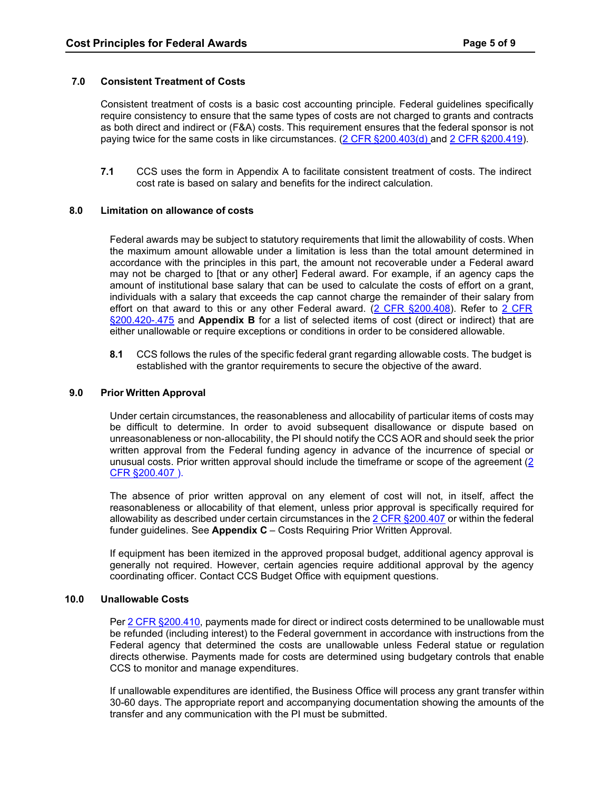### **7.0 Consistent Treatment of Costs**

Consistent treatment of costs is a basic cost accounting principle. Federal guidelines specifically require consistency to ensure that the same types of costs are not charged to grants and contracts as both direct and indirect or (F&A) costs. This requirement ensures that the federal sponsor is not paying twice for the same costs in like circumstances. (2 CFR [§200.403\(d\) a](https://www.ecfr.gov/cgi-bin/retrieveECFR?gp&SID=df15c322be7c86f3e543f7b648da2d09&mc=true&n=pt2.1.200&r=PART&ty=HTML&se2.1.200_1403)nd 2 CFR [§200.419\)](https://www.ecfr.gov/cgi-bin/retrieveECFR?gp&SID=df15c322be7c86f3e543f7b648da2d09&mc=true&n=pt2.1.200&r=PART&ty=HTML&se2.1.200_1419).

**7.1** CCS uses the form in Appendix A to facilitate consistent treatment of costs. The indirect cost rate is based on salary and benefits for the indirect calculation.

#### **8.0 Limitation on allowance of costs**

Federal awards may be subject to statutory requirements that limit the allowability of costs. When the maximum amount allowable under a limitation is less than the total amount determined in accordance with the principles in this part, the amount not recoverable under a Federal award may not be charged to [that or any other] Federal award. For example, if an agency caps the amount of institutional base salary that can be used to calculate the costs of effort on a grant, individuals with a salary that exceeds the cap cannot charge the remainder of their salary from effort on that award to this or any other Federal award. (2 CFR [§200.408\)](http://www.ecfr.gov/cgi-bin/text-idx?SID=c04997d141160169ea22761f8c1aa9ae&node=se2.1.200_1408&rgn=div8). Refer to 2 [CFR](https://www.ecfr.gov/cgi-bin/retrieveECFR?gp&SID=fb502e5ad3fce63c5ef7bb2c149eb453&mc=true&n=pt2.1.200&r=PART&ty=HTML%20-%20se2.1.200_1419&se2.1.200_1420) [§200.420-.475](https://www.ecfr.gov/cgi-bin/retrieveECFR?gp&SID=fb502e5ad3fce63c5ef7bb2c149eb453&mc=true&n=pt2.1.200&r=PART&ty=HTML%20-%20se2.1.200_1419&se2.1.200_1420) and **Appendix B** for a list of selected items of cost (direct or indirect) that are either unallowable or require exceptions or conditions in order to be considered allowable.

**8.1** CCS follows the rules of the specific federal grant regarding allowable costs. The budget is established with the grantor requirements to secure the objective of the award.

#### **9.0 Prior Written Approval**

Under certain circumstances, the reasonableness and allocability of particular items of costs may be difficult to determine. In order to avoid subsequent disallowance or dispute based on unreasonableness or non-allocability, the PI should notify the CCS AOR and should seek the prior written approval from the Federal funding agency in advance of the incurrence of special or unusual costs. Prior written approval should include the timeframe or scope of the agreement [\(2](http://www.ecfr.gov/cgi-bin/retrieveECFR?gp&SID=df15c322be7c86f3e543f7b648da2d09&mc=true&r=SECTION&n=se2.1.200_1407) [CFR §200.407](http://www.ecfr.gov/cgi-bin/retrieveECFR?gp&SID=df15c322be7c86f3e543f7b648da2d09&mc=true&r=SECTION&n=se2.1.200_1407) ).

The absence of prior written approval on any element of cost will not, in itself, affect the reasonableness or allocability of that element, unless prior approval is specifically required for allowability as described under certain circumstances in the 2 CFR [§200.407](http://www.ecfr.gov/cgi-bin/retrieveECFR?gp&SID=df15c322be7c86f3e543f7b648da2d09&mc=true&r=SECTION&n=se2.1.200_1407) or within the federal funder guidelines. See **Appendix C** – Costs Requiring Prior Written Approval.

If equipment has been itemized in the approved proposal budget, additional agency approval is generally not required. However, certain agencies require additional approval by the agency coordinating officer. Contact CCS Budget Office with equipment questions.

#### **10.0 Unallowable Costs**

Per 2 CFR [§200.410,](https://www.ecfr.gov/cgi-bin/retrieveECFR?gp&SID=df15c322be7c86f3e543f7b648da2d09&mc=true&n=pt2.1.200&r=PART&ty=HTML&se2.1.200_1410) payments made for direct or indirect costs determined to be unallowable must be refunded (including interest) to the Federal government in accordance with instructions from the Federal agency that determined the costs are unallowable unless Federal statue or regulation directs otherwise. Payments made for costs are determined using budgetary controls that enable CCS to monitor and manage expenditures.

If unallowable expenditures are identified, the Business Office will process any grant transfer within 30-60 days. The appropriate report and accompanying documentation showing the amounts of the transfer and any communication with the PI must be submitted.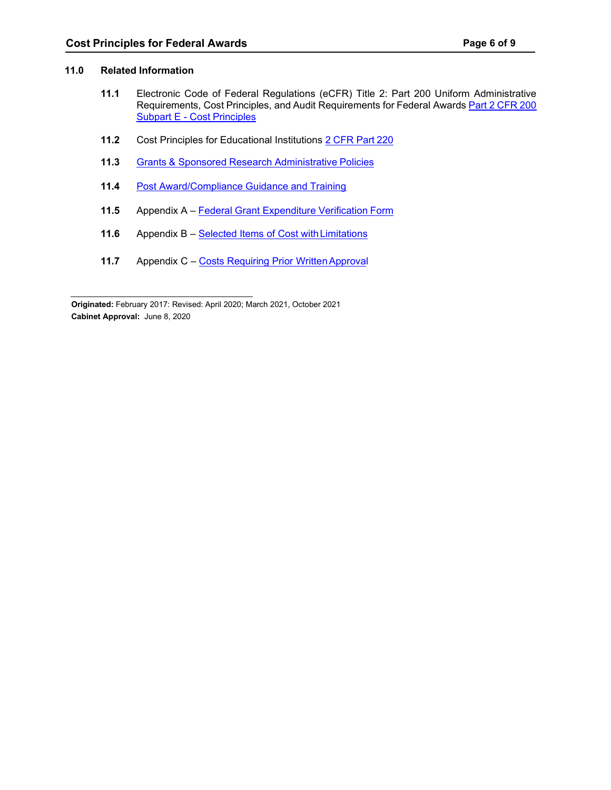### **11.0 Related Information**

- **11.1** Electronic Code of Federal Regulations (eCFR) Title 2: Part 200 Uniform Administrative Requirements, Cost Principles, and Audit Requirements for Federal Awards Part 2 [CFR](http://www.ecfr.gov/cgi-bin/text-idx?SID=0b9281fc42fbd226cb300245445dcc2f&mc=true&node=sp2.1.200.e&rgn=div6&sg2.1.200.e.sg11) 200 Subpart E - Cost [Principles](http://www.ecfr.gov/cgi-bin/text-idx?SID=0b9281fc42fbd226cb300245445dcc2f&mc=true&node=sp2.1.200.e&rgn=div6&sg2.1.200.e.sg11)
- **11.2** Cost Principles for Educational Institutions 2 [CFR](https://www.gpo.gov/fdsys/pkg/CFR-2012-title2-vol1/xml/CFR-2012-title2-vol1-part220.xml) Part 220
- **11.3** Grants & Sponsored Research [Administrative](https://ccsnet.ccs.spokane.edu/Grants/CUSTOM-PAGES/Grants-Admin-Policies.aspx) Policies
- **11.4** Post [Award/Compliance](https://ccsnet.ccs.spokane.edu/Grants/CUSTOM-PAGES/Post-Award-Compliance.aspx) Guidance and Training
- **11.5** Appendix A Federal Grant [Expenditure](#page-6-0) Verification Form
- 11.6 Appendix B Selected Items of Cost with Limitations
- **11.7** Appendix C Costs Requiring Prior Written Approval

 **Originated:** February 2017: Revised: April 2020; March 2021, October 2021 **Cabinet Approval:** June 8, 2020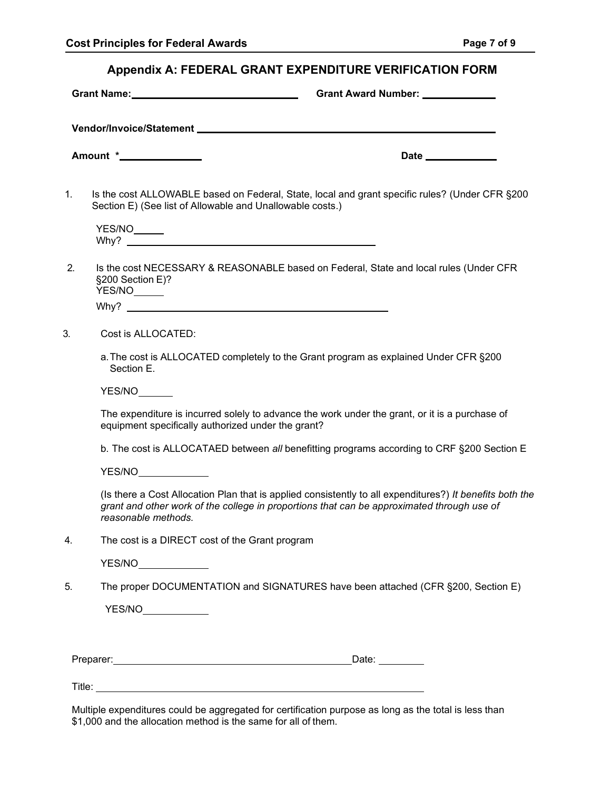<span id="page-6-0"></span>

| Appendix A: FEDERAL GRANT EXPENDITURE VERIFICATION FORM |                            |
|---------------------------------------------------------|----------------------------|
| Grant Name:_                                            | <b>Grant Award Number:</b> |

**Vendor/Invoice/Statement**

**Amount \* Date Date Date Date Date Date Date Date Date Date Date Date Date Date Date Date Date Date Date D** 

1. Is the cost ALLOWABLE based on Federal, State, local and grant specific rules? (Under CFR §200 Section E) (See list of Allowable and Unallowable costs.)

YES/NO Why?

2. Is the cost NECESSARY & REASONABLE based on Federal, State and local rules (Under CFR §200 Section E)? YES/NO

Why?

- 3. Cost is ALLOCATED:
	- a.The cost is ALLOCATED completely to the Grant program as explained Under CFR §200 Section E.

YES/NO

The expenditure is incurred solely to advance the work under the grant, or it is a purchase of equipment specifically authorized under the grant?

b. The cost is ALLOCATAED between *all* benefitting programs according to CRF §200 Section E

YES/NO

(Is there a Cost Allocation Plan that is applied consistently to all expenditures?) *It benefits both the grant and other work of the college in proportions that can be approximated through use of reasonable methods.*

4. The cost is a DIRECT cost of the Grant program

YES/NO

5. The proper DOCUMENTATION and SIGNATURES have been attached (CFR §200, Section E)

| YES/NO |  |
|--------|--|
|        |  |

Preparer: Date: Date: Date: Date: Date: Date: Date: Date: Date: Date: Date: Date: Date: Date: Date: Date: Date: Date: Date: Date: Date: Date: Date: Date: Date: Date: Date: Date: Date: Date: Date: Date: Date: Date: Date: Da

Title: **The Community of the Community of the Community of the Community of the Community of the Community of the Community of the Community of the Community of the Community of the Community of the Community of the Commun** 

Multiple expenditures could be aggregated for certification purpose as long as the total is less than \$1,000 and the allocation method is the same for all of them.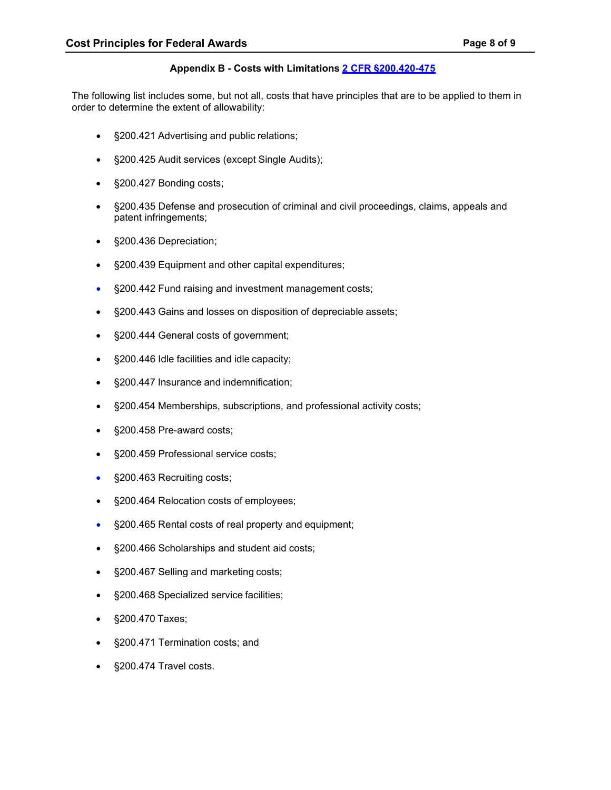# **Appendix B - Costs with Limitations 2 CFR [§200.420-475](http://www.ecfr.gov/cgi-bin/retrieveECFR?gp&SID=fb502e5ad3fce63c5ef7bb2c149eb453&mc=true&n=pt2.1.200&r=PART&ty=HTML%20-%20se2.1.200_1419)**

<span id="page-7-0"></span>The following list includes some, but not all, costs that have principles that are to be applied to them in order to determine the extent of allowability:

- §200.421 Advertising and public relations;
- §200.425 Audit services (except Single Audits);
- §200.427 Bonding costs;
- §200.435 Defense and prosecution of criminal and civil proceedings, claims, appeals and patent infringements;
- §200.436 Depreciation;
- §200.439 Equipment and other capital expenditures;
- §200.442 Fund raising and investment management costs;
- §200.443 Gains and losses on disposition of depreciable assets;
- §200.444 General costs of government;
- §200.446 Idle facilities and idle capacity;
- §200.447 Insurance and indemnification;
- §200.454 Memberships, subscriptions, and professional activity costs;
- §200.458 Pre-award costs;
- § 200.459 Professional service costs;
- § 200.463 Recruiting costs;
- §200.464 Relocation costs of employees;
- §200.465 Rental costs of real property and equipment;
- §200.466 Scholarships and student aid costs;
- §200.467 Selling and marketing costs;
- §200.468 Specialized service facilities;
- §200.470 Taxes;
- §200.471 Termination costs; and
- §200.474 Travel costs.